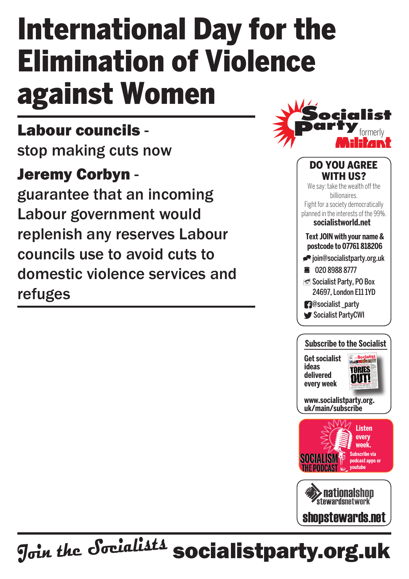# International Day for the Elimination of Violence against Women

### Labour councils -

stop making cuts now

#### Jeremy Corbyn -

guarantee that an incoming Labour government would replenish any reserves Labour councils use to avoid cuts to domestic violence services and refuges



#### **Text join with your name & postcode to 07761 818206**  $\blacktriangleright$ ioin@socialistparty.org.uk ■ 020 8988 8777 Socialist Party, PO Box 24697, London E11 1YD **1**@socialist\_party Socialist PartyCWI Do you agree WITH US? We say: take the wealth off the billionaires. Fight for a society democratically planned in the interests of the 99%. **socialistworld.net**

**Subscribe to the Socialist**

**Get socialist ideas delivered every week**



**www.socialistparty.org. uk/main/subscribe**





## J<sub>oin the</sub> Socialists socialistparty.org.uk